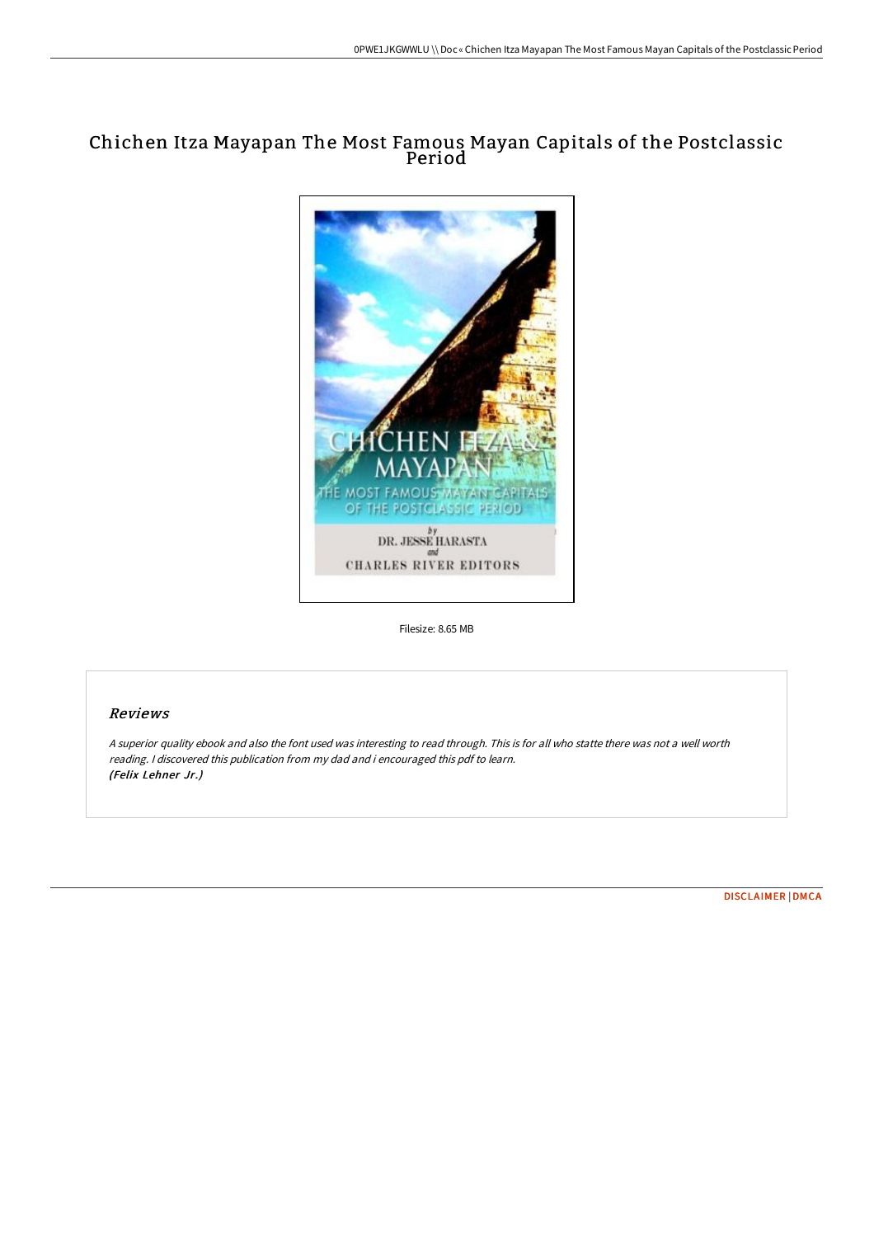# Chichen Itza Mayapan The Most Famous Mayan Capitals of the Postclassic Period



Filesize: 8.65 MB

## Reviews

<sup>A</sup> superior quality ebook and also the font used was interesting to read through. This is for all who statte there was not <sup>a</sup> well worth reading. <sup>I</sup> discovered this publication from my dad and i encouraged this pdf to learn. (Felix Lehner Jr.)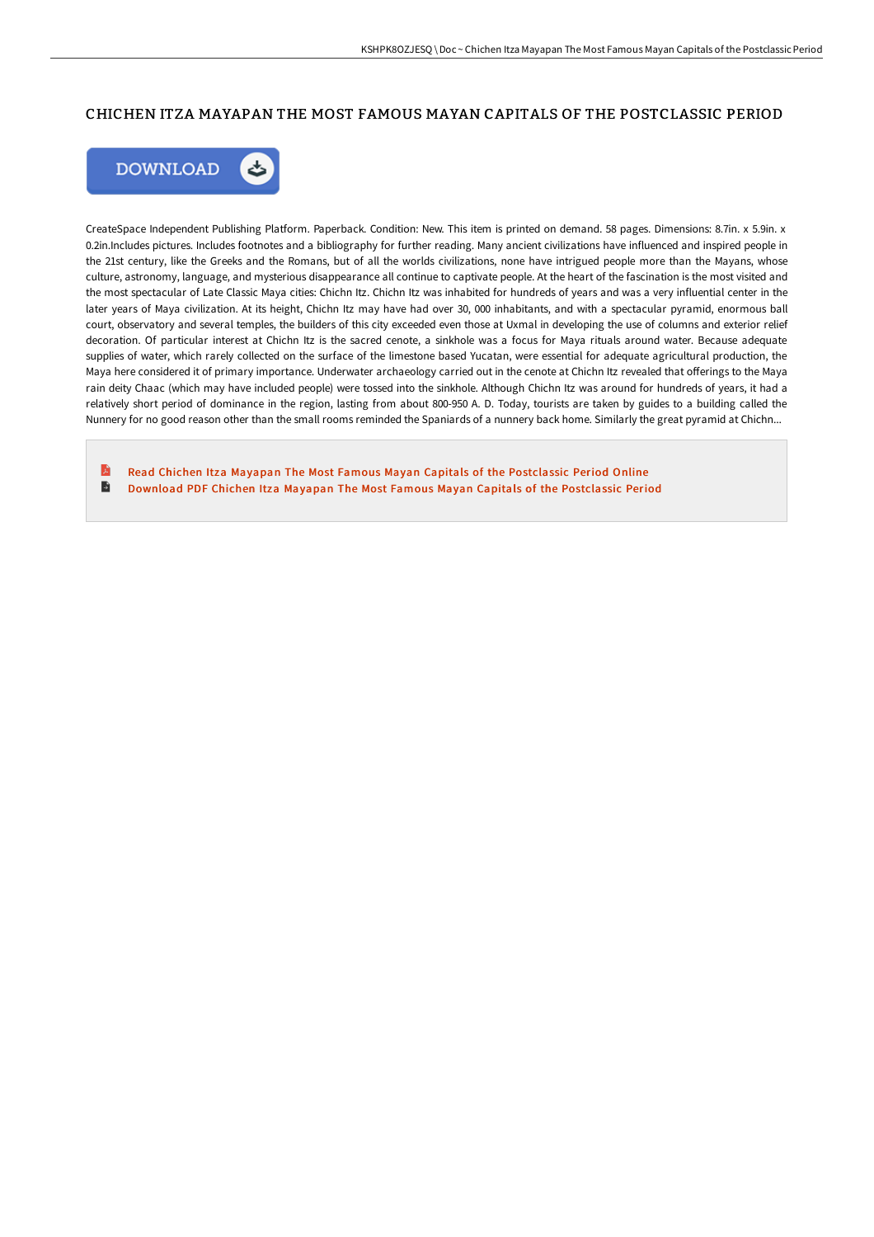### CHICHEN ITZA MAYAPAN THE MOST FAMOUS MAYAN CAPITALS OF THE POSTCLASSIC PERIOD



CreateSpace Independent Publishing Platform. Paperback. Condition: New. This item is printed on demand. 58 pages. Dimensions: 8.7in. x 5.9in. x 0.2in.Includes pictures. Includes footnotes and a bibliography for further reading. Many ancient civilizations have influenced and inspired people in the 21st century, like the Greeks and the Romans, but of all the worlds civilizations, none have intrigued people more than the Mayans, whose culture, astronomy, language, and mysterious disappearance all continue to captivate people. At the heart of the fascination is the most visited and the most spectacular of Late Classic Maya cities: Chichn Itz. Chichn Itz was inhabited for hundreds of years and was a very influential center in the later years of Maya civilization. At its height, Chichn Itz may have had over 30, 000 inhabitants, and with a spectacular pyramid, enormous ball court, observatory and several temples, the builders of this city exceeded even those at Uxmal in developing the use of columns and exterior relief decoration. Of particular interest at Chichn Itz is the sacred cenote, a sinkhole was a focus for Maya rituals around water. Because adequate supplies of water, which rarely collected on the surface of the limestone based Yucatan, were essential for adequate agricultural production, the Maya here considered it of primary importance. Underwater archaeology carried out in the cenote at Chichn Itz revealed that offerings to the Maya rain deity Chaac (which may have included people) were tossed into the sinkhole. Although Chichn Itz was around for hundreds of years, it had a relatively short period of dominance in the region, lasting from about 800-950 A. D. Today, tourists are taken by guides to a building called the Nunnery for no good reason other than the small rooms reminded the Spaniards of a nunnery back home. Similarly the great pyramid at Chichn...

B Read Chichen Itza Mayapan The Most Famous Mayan Capitals of the [Postclassic](http://www.bookdirs.com/chichen-itza-mayapan-the-most-famous-mayan-capit-1.html) Period Online  $\blacksquare$ Download PDF Chichen Itza Mayapan The Most Famous Mayan Capitals of the [Postclassic](http://www.bookdirs.com/chichen-itza-mayapan-the-most-famous-mayan-capit-1.html) Period